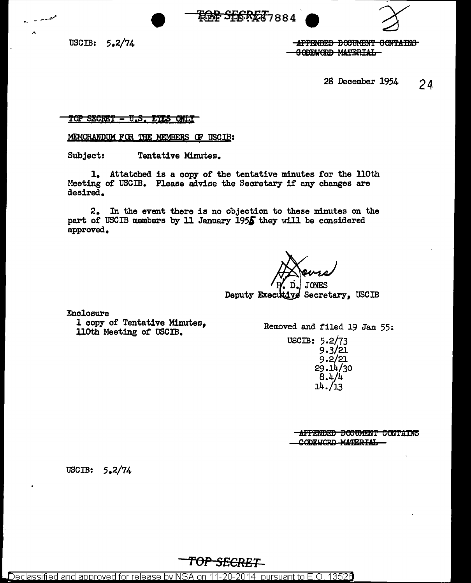$\text{USCIB:} \quad 5.2/74$ 

• 0,

-APPENDED BOJUMENT CONTAINS **8 ODEWORD MATERIAL** 

28 December 1954 2 4

TOP SECRET - U.S. EIES QNLY

MEMORANDUM FOR THE MEMBERS OF USCIB:

Subject: Tentative Minutes.

1. Attatched is a copy of the tentative minutes for the llOth Meeting of USCIB. Please advise the Secretary if any changes are desired.

**ROG SEGRET**7884

2. In the event there is no objection to these minutes on the part of USCIB members by 11 January 195 $\overline{\phantom{1}}$  they will be considered approved.

• ri. JONES

Deputy Executive Secretary. USCIB

Enclosure

l copy of Tentative Minutes, UOth Meeting of USCIB.

Removed and filed 19 Jan 55:

USCIB: 5.2/73 9.3/21 9.2/21 29.14/30  $8.4/4$ 14./13

> -APPENDED DOCUMENT CONTAINS CODEWORD MATERIAL

uscm: 5.2/74

Declassified and approved for release by NSA on 11-20-2014  $\,$  pursuant to E.O. 13526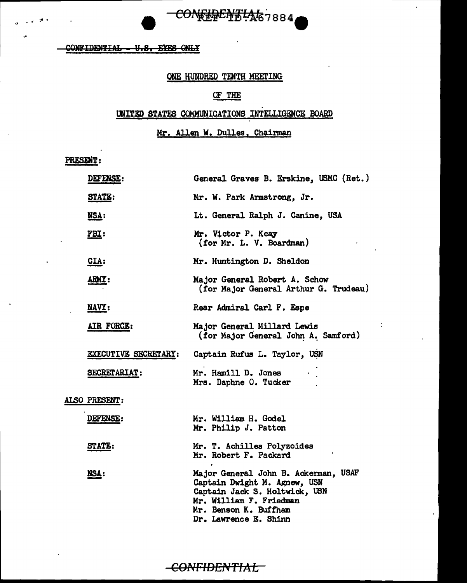CONFIDENTIAL - U.S. EYES ONLY

# ONE HUNDRED TENTH MEETING

CONFERENTIAE7884

# OF THE

# UNITED STATES COMMUNICATIONS INTELLIGENCE BOARD

Mr. Allen W. Dulles, Chairman

PRESENT:

| <b>DEFENSE :</b>     | General Graves B. Erskine, USMC (Ret.)                                                                                                                                             |
|----------------------|------------------------------------------------------------------------------------------------------------------------------------------------------------------------------------|
| <b>STATE:</b>        | Mr. W. Park Armstrong, Jr.                                                                                                                                                         |
| <u>NSA:</u>          | Lt. General Ralph J. Canine, USA                                                                                                                                                   |
| <u>FBI:</u>          | Mr. Victor P. Keay<br>(for Mr. L. V. Boardman)                                                                                                                                     |
| $CLA$ :              | Mr. Huntington D. Sheldon                                                                                                                                                          |
| ARMY:                | Major General Robert A. Schow<br>(for Major General Arthur G. Trudeau)                                                                                                             |
| NAVY:                | Rear Admiral Carl F. Espe                                                                                                                                                          |
| AIR FORCE:           | Major General Millard Lewis<br>(for Major General John A. Samford)                                                                                                                 |
| EXECUTIVE SECRETARY: | Captain Rufus L. Taylor, USN                                                                                                                                                       |
| SECRETARIAT:         | Mr. Hamill D. Jones<br>Mrs. Daphne O. Tucker                                                                                                                                       |
| ALSO PRESENT:        |                                                                                                                                                                                    |
| DEFENSE:             | Mr. William H. Godel<br>Mr. Philip J. Patton                                                                                                                                       |
| <b>STATE:</b>        | Mr. T. Achilles Polyzoides<br>Mr. Robert F. Packard                                                                                                                                |
| NSA:                 | Major General John B. Ackerman, USAF<br>Captain Dwight M. Agnew, USN<br>Captain Jack S. Holtwick, USN<br>Mr. William F. Friedman<br>Mr. Benson K. Buffham<br>Dr. Lawrence E. Shinn |

ċ

-CONFIDENTIAL-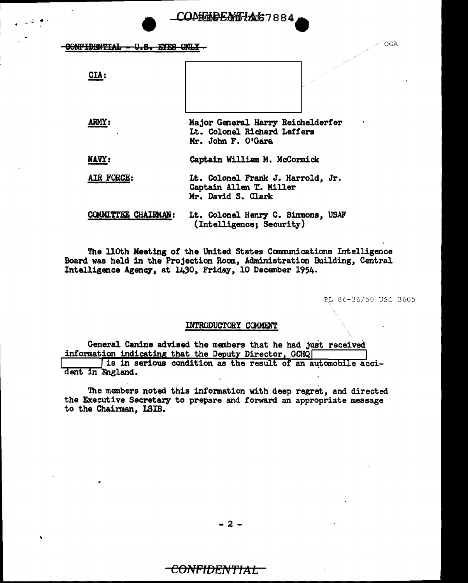$\overline{COMF}$  idential  $\overline{V}_1S$ . EYES  $\overline{OML}$  .

CIA:

.,, .. 4 -

ARMY: Major General Harry Reichelderfer Lt. Colonel Richard Leffers Mr. John F. O'Gara

COA<del>KTOENSIA</del>67884

NAVY: Captain William M. McCormick

## AIR FORCE: Lt. Colonel Frank J. Harrold, Jr. Captain Allen T. Miller Mr. David s. Clark

COMMITTEE CHAIRMAN: Lt. Colonel Henry C. Simmons, USAF (Intelligence; Security)

The lloth Meeting *ot* the United States Communications Intelligence Board was held in the Projection Room, Administration Building, Central Intelligence Agency, at 1430, Friday, 10 December 1954.

PL 86-36/50 USC 3605

### INTRODUCTORY CCMMENI'

General Canine advised the members that he had just received information indicating that the Deputy Director, GCHQ is in serious condition as the result of an automobile acci dent in England.

The members noted this information with deep regret, and directed the Executive Secretary to prepare and forward an appropriate message to the Chainnan, LSIB.

- 2 -

# <del>CONFIDENTIAL.</del>

OGA